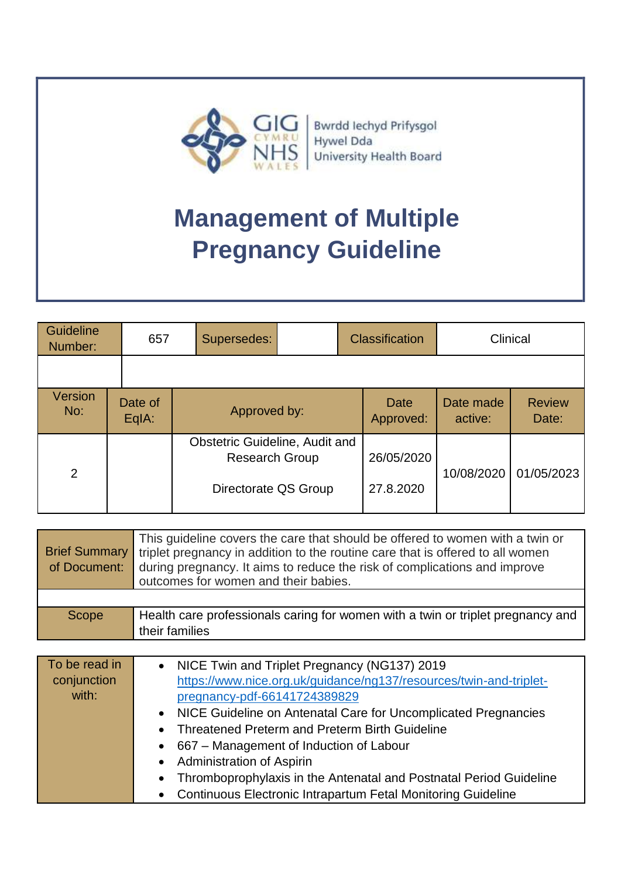

Bwrdd Iechyd Prifysgol Hywel Dda University Health Board

| <b>Guideline</b><br>Number: |  | 657                              |  | Supersedes:                                             |                          | <b>Classification</b> |                      | Clinical               |            |  |
|-----------------------------|--|----------------------------------|--|---------------------------------------------------------|--------------------------|-----------------------|----------------------|------------------------|------------|--|
|                             |  |                                  |  |                                                         |                          |                       |                      |                        |            |  |
| Version<br>No:              |  | Date of<br>Approved by:<br>EqIA: |  |                                                         | <b>Date</b><br>Approved: |                       | Date made<br>active: | <b>Review</b><br>Date: |            |  |
| 2                           |  |                                  |  | Obstetric Guideline, Audit and<br><b>Research Group</b> |                          |                       | 26/05/2020           | 10/08/2020             | 01/05/2023 |  |
|                             |  |                                  |  | Directorate QS Group                                    |                          |                       | 27.8.2020            |                        |            |  |

| <b>Brief Summary</b><br>of Document: | This guideline covers the care that should be offered to women with a twin or<br>triplet pregnancy in addition to the routine care that is offered to all women<br>during pregnancy. It aims to reduce the risk of complications and improve<br>outcomes for women and their babies. |
|--------------------------------------|--------------------------------------------------------------------------------------------------------------------------------------------------------------------------------------------------------------------------------------------------------------------------------------|
|                                      |                                                                                                                                                                                                                                                                                      |
| Scope                                | Health care professionals caring for women with a twin or triplet pregnancy and<br>their families                                                                                                                                                                                    |

| To be read in<br>conjunction | • NICE Twin and Triplet Pregnancy (NG137) 2019<br>https://www.nice.org.uk/guidance/ng137/resources/twin-and-triplet- |
|------------------------------|----------------------------------------------------------------------------------------------------------------------|
| with:                        | pregnancy-pdf-66141724389829                                                                                         |
|                              | • NICE Guideline on Antenatal Care for Uncomplicated Pregnancies                                                     |
|                              | • Threatened Preterm and Preterm Birth Guideline                                                                     |
|                              | • 667 - Management of Induction of Labour                                                                            |
|                              | • Administration of Aspirin                                                                                          |
|                              | Thromboprophylaxis in the Antenatal and Postnatal Period Guideline<br>$\bullet$                                      |
|                              | • Continuous Electronic Intrapartum Fetal Monitoring Guideline                                                       |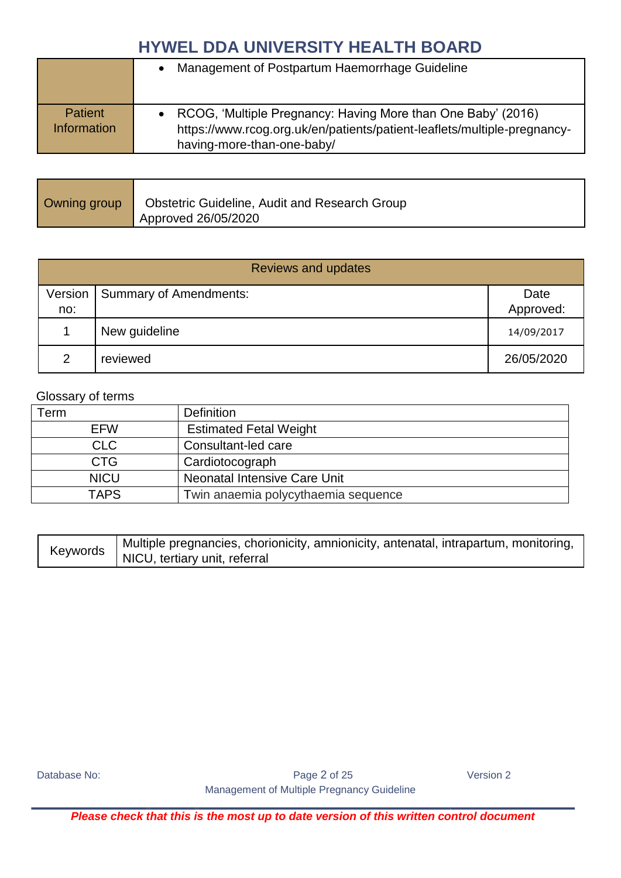|                               | Management of Postpartum Haemorrhage Guideline                                                                                                                         |
|-------------------------------|------------------------------------------------------------------------------------------------------------------------------------------------------------------------|
| <b>Patient</b><br>Information | RCOG, 'Multiple Pregnancy: Having More than One Baby' (2016)<br>https://www.rcog.org.uk/en/patients/patient-leaflets/multiple-pregnancy-<br>having-more-than-one-baby/ |

| Owning group   Obstetric Guideline, Audit and Research Group |
|--------------------------------------------------------------|
| Approved 26/05/2020                                          |

| <b>Reviews and updates</b> |                                  |            |  |  |  |
|----------------------------|----------------------------------|------------|--|--|--|
|                            | Version   Summary of Amendments: | Date       |  |  |  |
| no:                        |                                  | Approved:  |  |  |  |
|                            | New guideline                    | 14/09/2017 |  |  |  |
| $\mathcal{P}$              | reviewed                         | 26/05/2020 |  |  |  |

#### Glossary of terms

| Term        | <b>Definition</b>                   |
|-------------|-------------------------------------|
| <b>EFW</b>  | <b>Estimated Fetal Weight</b>       |
| <b>CLC</b>  | Consultant-led care                 |
| <b>CTG</b>  | Cardiotocograph                     |
| <b>NICU</b> | <b>Neonatal Intensive Care Unit</b> |
| <b>TAPS</b> | Twin anaemia polycythaemia sequence |

| Keywords | Multiple pregnancies, chorionicity, amnionicity, antenatal, intrapartum, monitoring, |
|----------|--------------------------------------------------------------------------------------|
|          | NICU, tertiary unit, referral                                                        |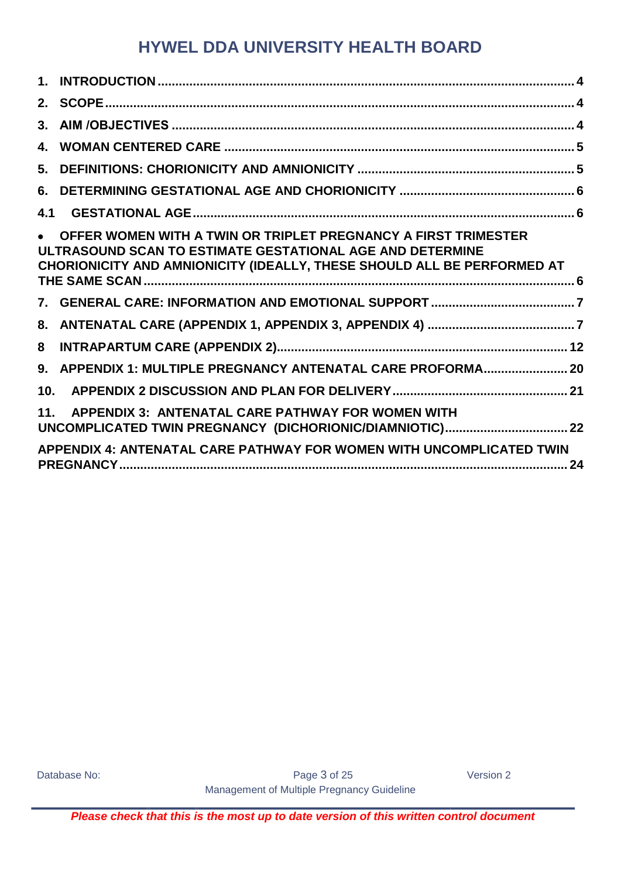| 3.   |                                                                                                                                                                                                        |
|------|--------------------------------------------------------------------------------------------------------------------------------------------------------------------------------------------------------|
| 4.   |                                                                                                                                                                                                        |
| 5.   |                                                                                                                                                                                                        |
| 6.   |                                                                                                                                                                                                        |
| 4.1  |                                                                                                                                                                                                        |
|      | OFFER WOMEN WITH A TWIN OR TRIPLET PREGNANCY A FIRST TRIMESTER<br>ULTRASOUND SCAN TO ESTIMATE GESTATIONAL AGE AND DETERMINE<br>CHORIONICITY AND AMNIONICITY (IDEALLY, THESE SHOULD ALL BE PERFORMED AT |
|      |                                                                                                                                                                                                        |
| 8.   |                                                                                                                                                                                                        |
| 8    |                                                                                                                                                                                                        |
| $9-$ | APPENDIX 1: MULTIPLE PREGNANCY ANTENATAL CARE PROFORMA 20                                                                                                                                              |
| 10.  |                                                                                                                                                                                                        |
| 11.  | <b>APPENDIX 3: ANTENATAL CARE PATHWAY FOR WOMEN WITH</b>                                                                                                                                               |
|      | APPENDIX 4: ANTENATAL CARE PATHWAY FOR WOMEN WITH UNCOMPLICATED TWIN                                                                                                                                   |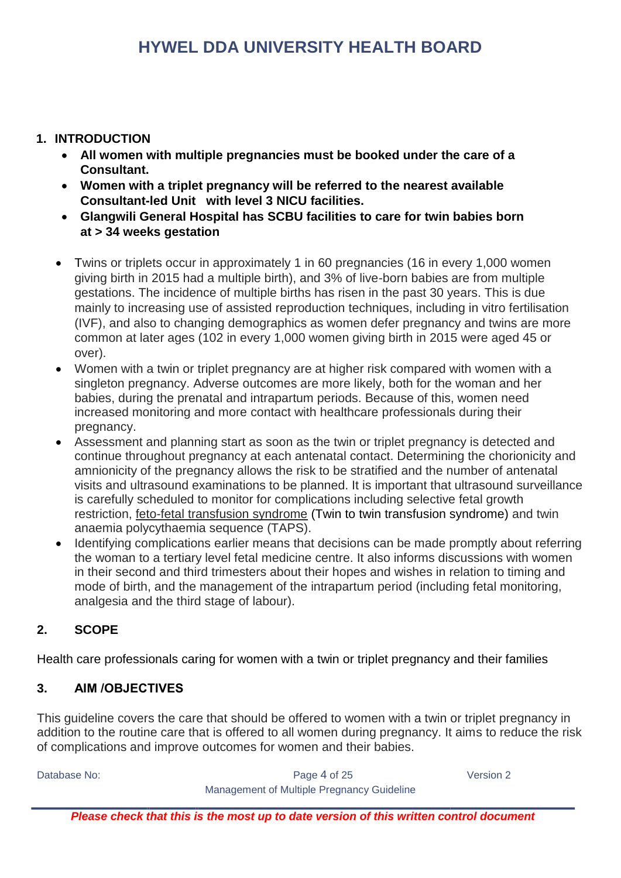#### <span id="page-3-0"></span>**1. INTRODUCTION**

- **All women with multiple pregnancies must be booked under the care of a Consultant.**
- **Women with a triplet pregnancy will be referred to the nearest available Consultant-led Unit with level 3 NICU facilities.**
- **Glangwili General Hospital has SCBU facilities to care for twin babies born at > 34 weeks gestation**
- Twins or triplets occur in approximately 1 in 60 pregnancies (16 in every 1,000 women giving birth in 2015 had a multiple birth), and 3% of live-born babies are from multiple gestations. The incidence of multiple births has risen in the past 30 years. This is due mainly to increasing use of assisted reproduction techniques, including in vitro fertilisation (IVF), and also to changing demographics as women defer pregnancy and twins are more common at later ages (102 in every 1,000 women giving birth in 2015 were aged 45 or over).
- Women with a twin or triplet pregnancy are at higher risk compared with women with a singleton pregnancy. Adverse outcomes are more likely, both for the woman and her babies, during the prenatal and intrapartum periods. Because of this, women need increased monitoring and more contact with healthcare professionals during their pregnancy.
- Assessment and planning start as soon as the twin or triplet pregnancy is detected and continue throughout pregnancy at each antenatal contact. Determining the chorionicity and amnionicity of the pregnancy allows the risk to be stratified and the number of antenatal visits and ultrasound examinations to be planned. It is important that ultrasound surveillance is carefully scheduled to monitor for complications including selective fetal growth restriction, feto-fetal transfusion syndrome (Twin to twin transfusion syndrome) and twin anaemia polycythaemia sequence (TAPS).
- Identifying complications earlier means that decisions can be made promptly about referring the woman to a tertiary level fetal medicine centre. It also informs discussions with women in their second and third trimesters about their hopes and wishes in relation to timing and mode of birth, and the management of the intrapartum period (including fetal monitoring, analgesia and the third stage of labour).

#### <span id="page-3-1"></span>**2. SCOPE**

Health care professionals caring for women with a twin or triplet pregnancy and their families

#### <span id="page-3-2"></span>**3. AIM /OBJECTIVES**

This guideline covers the care that should be offered to women with a twin or triplet pregnancy in addition to the routine care that is offered to all women during pregnancy. It aims to reduce the risk of complications and improve outcomes for women and their babies.

Database No: Notabase No: Notabase Notabase Notabase 2 and the Page 4 of 25 Network 2 Version 2 Management of Multiple Pregnancy Guideline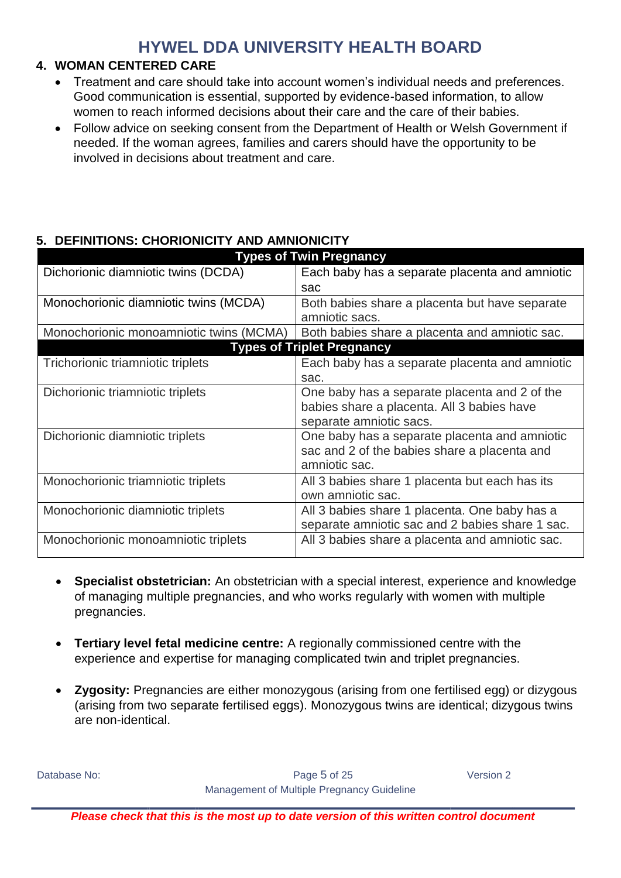#### <span id="page-4-0"></span>**4. WOMAN CENTERED CARE**

- Treatment and care should take into account women's individual needs and preferences. Good communication is essential, supported by evidence-based information, to allow women to reach informed decisions about their care and the care of their babies.
- Follow advice on seeking consent from the Department of Health or Welsh Government if needed. If the woman agrees, families and carers should have the opportunity to be involved in decisions about treatment and care.

#### <span id="page-4-1"></span>**5. DEFINITIONS: CHORIONICITY AND AMNIONICITY**

| <b>Types of Twin Pregnancy</b>          |                                                 |  |  |  |  |  |  |
|-----------------------------------------|-------------------------------------------------|--|--|--|--|--|--|
| Dichorionic diamniotic twins (DCDA)     | Each baby has a separate placenta and amniotic  |  |  |  |  |  |  |
|                                         | sac                                             |  |  |  |  |  |  |
| Monochorionic diamniotic twins (MCDA)   | Both babies share a placenta but have separate  |  |  |  |  |  |  |
|                                         | amniotic sacs.                                  |  |  |  |  |  |  |
| Monochorionic monoamniotic twins (MCMA) | Both babies share a placenta and amniotic sac.  |  |  |  |  |  |  |
|                                         | <b>Types of Triplet Pregnancy</b>               |  |  |  |  |  |  |
| Trichorionic triamniotic triplets       | Each baby has a separate placenta and amniotic  |  |  |  |  |  |  |
|                                         | sac.                                            |  |  |  |  |  |  |
| Dichorionic triamniotic triplets        | One baby has a separate placenta and 2 of the   |  |  |  |  |  |  |
|                                         | babies share a placenta. All 3 babies have      |  |  |  |  |  |  |
|                                         | separate amniotic sacs.                         |  |  |  |  |  |  |
| Dichorionic diamniotic triplets         | One baby has a separate placenta and amniotic   |  |  |  |  |  |  |
|                                         | sac and 2 of the babies share a placenta and    |  |  |  |  |  |  |
|                                         | amniotic sac.                                   |  |  |  |  |  |  |
| Monochorionic triamniotic triplets      | All 3 babies share 1 placenta but each has its  |  |  |  |  |  |  |
|                                         | own amniotic sac.                               |  |  |  |  |  |  |
| Monochorionic diamniotic triplets       | All 3 babies share 1 placenta. One baby has a   |  |  |  |  |  |  |
|                                         | separate amniotic sac and 2 babies share 1 sac. |  |  |  |  |  |  |
| Monochorionic monoamniotic triplets     | All 3 babies share a placenta and amniotic sac. |  |  |  |  |  |  |
|                                         |                                                 |  |  |  |  |  |  |

- **Specialist obstetrician:** An obstetrician with a special interest, experience and knowledge of managing multiple pregnancies, and who works regularly with women with multiple pregnancies.
- **Tertiary level fetal medicine centre:** A regionally commissioned centre with the experience and expertise for managing complicated twin and triplet pregnancies.
- **Zygosity:** Pregnancies are either monozygous (arising from one fertilised egg) or dizygous (arising from two separate fertilised eggs). Monozygous twins are identical; dizygous twins are non-identical.

Database No: Notabase No: Notabase Notabase Notabase 2012 and 2012 and 2012 and 2012 and 2012 and 2013 and 201 Management of Multiple Pregnancy Guideline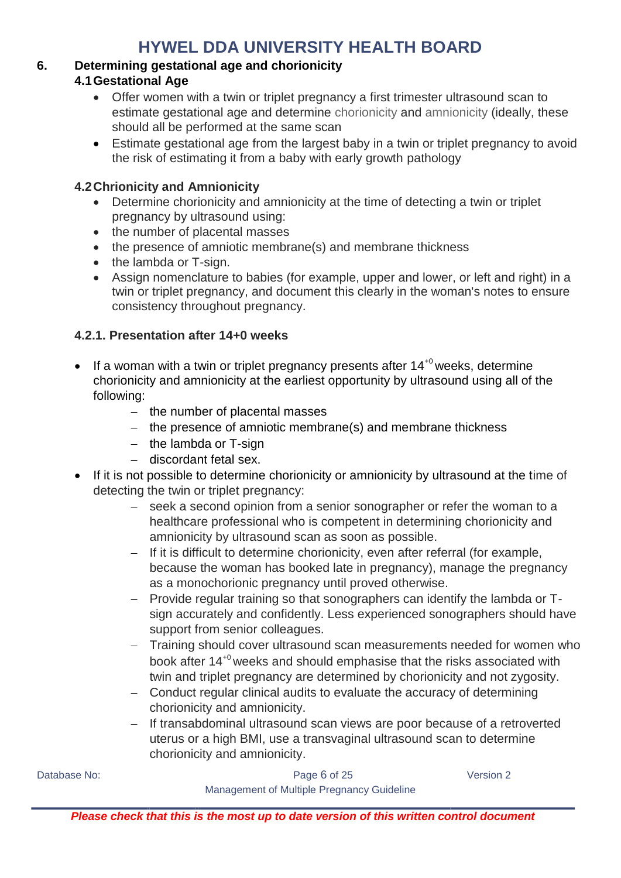#### <span id="page-5-2"></span><span id="page-5-1"></span><span id="page-5-0"></span>**6. Determining gestational age and chorionicity**

#### **4.1Gestational Age**

- Offer women with a twin or triplet pregnancy a first trimester ultrasound scan to estimate gestational age and determine chorionicity and amnionicity (ideally, these should all be performed at the same scan
- Estimate gestational age from the largest baby in a twin or triplet pregnancy to avoid the risk of estimating it from a baby with early growth pathology

#### **4.2Chrionicity and Amnionicity**

- Determine chorionicity and amnionicity at the time of detecting a twin or triplet pregnancy by ultrasound using:
- the number of placental masses
- the presence of amniotic membrane(s) and membrane thickness
- the lambda or T-sign.
- Assign nomenclature to babies (for example, upper and lower, or left and right) in a twin or triplet pregnancy, and document this clearly in the woman's notes to ensure consistency throughout pregnancy.

#### **4.2.1. Presentation after 14+0 weeks**

- If a woman with a twin or triplet pregnancy presents after  $14^{+0}$  weeks, determine chorionicity and amnionicity at the earliest opportunity by ultrasound using all of the following:
	- $-$  the number of placental masses
	- the presence of amniotic membrane(s) and membrane thickness
	- $-$  the lambda or T-sign
	- discordant fetal sex.
- If it is not possible to determine chorionicity or amnionicity by ultrasound at the time of detecting the twin or triplet pregnancy:
	- seek a second opinion from a senior sonographer or refer the woman to a healthcare professional who is competent in determining chorionicity and amnionicity by ultrasound scan as soon as possible.
	- $-$  If it is difficult to determine chorionicity, even after referral (for example, because the woman has booked late in pregnancy), manage the pregnancy as a monochorionic pregnancy until proved otherwise.
	- Provide regular training so that sonographers can identify the lambda or Tsign accurately and confidently. Less experienced sonographers should have support from senior colleagues.
	- Training should cover ultrasound scan measurements needed for women who book after 14+0 weeks and should emphasise that the risks associated with twin and triplet pregnancy are determined by chorionicity and not zygosity.
	- Conduct regular clinical audits to evaluate the accuracy of determining chorionicity and amnionicity.
	- If transabdominal ultrasound scan views are poor because of a retroverted uterus or a high BMI, use a transvaginal ultrasound scan to determine chorionicity and amnionicity.

Database No: Notabase No: Notabase Notabase Notabase 2012 and 2012 and 2012 and 2012 and 2012 and 2013 and 201 Management of Multiple Pregnancy Guideline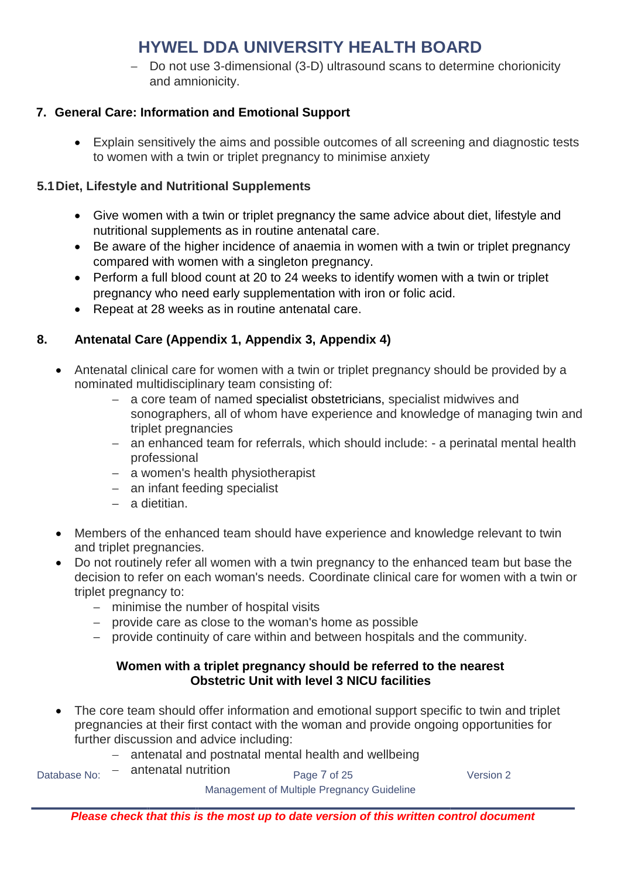- Do not use 3-dimensional (3-D) ultrasound scans to determine chorionicity and amnionicity.

#### <span id="page-6-0"></span>**7. General Care: Information and Emotional Support**

 Explain sensitively the aims and possible outcomes of all screening and diagnostic tests to women with a twin or triplet pregnancy to minimise anxiety

#### **5.1Diet, Lifestyle and Nutritional Supplements**

- Give women with a twin or triplet pregnancy the same advice about diet, lifestyle and nutritional supplements as in routine antenatal care.
- Be aware of the higher incidence of anaemia in women with a twin or triplet pregnancy compared with women with a singleton pregnancy.
- Perform a full blood count at 20 to 24 weeks to identify women with a twin or triplet pregnancy who need early supplementation with iron or folic acid.
- Repeat at 28 weeks as in routine antenatal care.

#### <span id="page-6-1"></span>**8. Antenatal Care (Appendix 1, Appendix 3, Appendix 4)**

- Antenatal clinical care for women with a twin or triplet pregnancy should be provided by a nominated multidisciplinary team consisting of:
	- a core team of named specialist obstetricians, specialist midwives and sonographers, all of whom have experience and knowledge of managing twin and triplet pregnancies
	- an enhanced team for referrals, which should include: a perinatal mental health professional
	- a women's health physiotherapist
	- an infant feeding specialist
	- a dietitian.
- Members of the enhanced team should have experience and knowledge relevant to twin and triplet pregnancies.
- Do not routinely refer all women with a twin pregnancy to the enhanced team but base the decision to refer on each woman's needs. Coordinate clinical care for women with a twin or triplet pregnancy to:
	- minimise the number of hospital visits
	- provide care as close to the woman's home as possible
	- provide continuity of care within and between hospitals and the community.

#### **Women with a triplet pregnancy should be referred to the nearest Obstetric Unit with level 3 NICU facilities**

- The core team should offer information and emotional support specific to twin and triplet pregnancies at their first contact with the woman and provide ongoing opportunities for further discussion and advice including:
	- antenatal and postnatal mental health and wellbeing antenatal nutrition

Database No:  $-$  antenatal nutrition<br>  $Page 7 of 25$  Version 2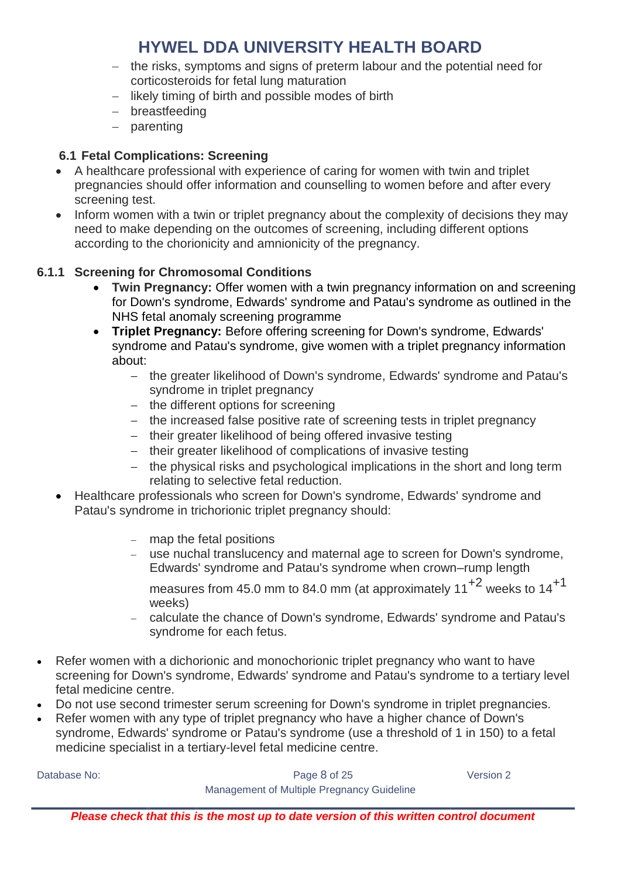- the risks, symptoms and signs of preterm labour and the potential need for corticosteroids for fetal lung maturation
- likely timing of birth and possible modes of birth
- breastfeeding
- parenting

#### **6.1 Fetal Complications: Screening**

- A healthcare professional with experience of caring for women with twin and triplet pregnancies should offer information and counselling to women before and after every screening test.
- Inform women with a twin or triplet pregnancy about the complexity of decisions they may need to make depending on the outcomes of screening, including different options according to the chorionicity and amnionicity of the pregnancy.

#### **6.1.1 Screening for Chromosomal Conditions**

- **Twin Pregnancy:** Offer women with a twin pregnancy information on and screening for Down's syndrome, Edwards' syndrome and Patau's syndrome as outlined in the NHS fetal anomaly screening programme
- **Triplet Pregnancy:** Before offering screening for Down's syndrome, Edwards' syndrome and Patau's syndrome, give women with a triplet pregnancy information about:
	- the greater likelihood of Down's syndrome, Edwards' syndrome and Patau's syndrome in triplet pregnancy
	- the different options for screening
	- the increased false positive rate of screening tests in triplet pregnancy
	- their greater likelihood of being offered invasive testing
	- their greater likelihood of complications of invasive testing
	- the physical risks and psychological implications in the short and long term relating to selective fetal reduction.
- Healthcare professionals who screen for Down's syndrome, Edwards' syndrome and Patau's syndrome in trichorionic triplet pregnancy should:
	- map the fetal positions
	- use nuchal translucency and maternal age to screen for Down's syndrome, Edwards' syndrome and Patau's syndrome when crown–rump length
		- measures from 45.0 mm to 84.0 mm (at approximately  $11^{+2}$  weeks to  $14^{+1}$ weeks)
	- calculate the chance of Down's syndrome, Edwards' syndrome and Patau's syndrome for each fetus.
- Refer women with a dichorionic and monochorionic triplet pregnancy who want to have screening for Down's syndrome, Edwards' syndrome and Patau's syndrome to a tertiary level fetal medicine centre.
- Do not use second trimester serum screening for Down's syndrome in triplet pregnancies.
- Refer women with any type of triplet pregnancy who have a higher chance of Down's syndrome, Edwards' syndrome or Patau's syndrome (use a threshold of 1 in 150) to a fetal medicine specialist in a tertiary-level fetal medicine centre.

Database No: Notabase No: Notabase Notabase Notabase 2 and the Page 8 of 25 Network 2 Version 2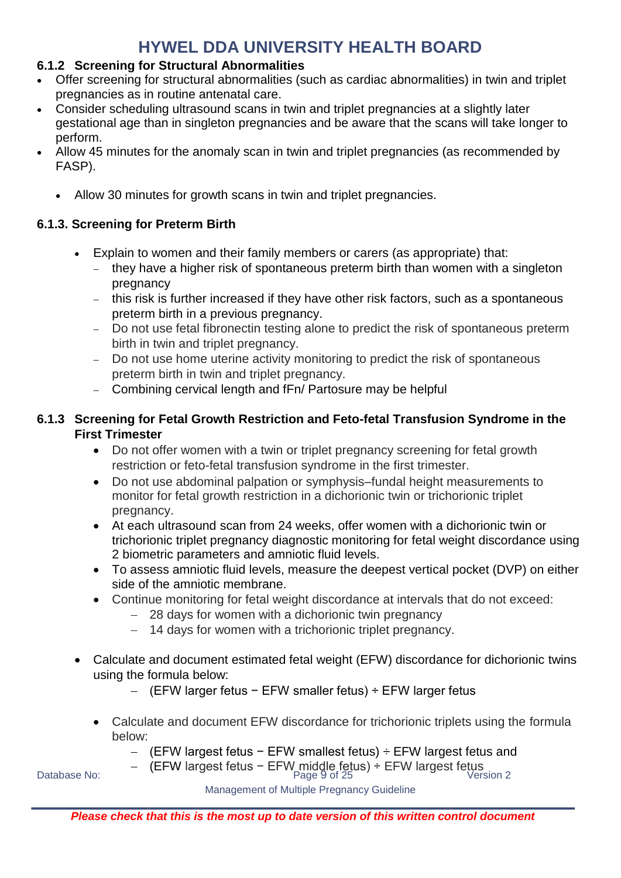#### **6.1.2 Screening for Structural Abnormalities**

- Offer screening for structural abnormalities (such as cardiac abnormalities) in twin and triplet pregnancies as in routine antenatal care.
- Consider scheduling ultrasound scans in twin and triplet pregnancies at a slightly later gestational age than in singleton pregnancies and be aware that the scans will take longer to perform.
- Allow 45 minutes for the anomaly scan in twin and triplet pregnancies (as recommended by FASP).
	- Allow 30 minutes for growth scans in twin and triplet pregnancies.

#### **6.1.3. Screening for Preterm Birth**

- Explain to women and their family members or carers (as appropriate) that:
	- they have a higher risk of spontaneous preterm birth than women with a singleton pregnancy
	- this risk is further increased if they have other risk factors, such as a spontaneous preterm birth in a previous pregnancy.
	- Do not use fetal fibronectin testing alone to predict the risk of spontaneous preterm birth in twin and triplet pregnancy.
	- Do not use home uterine activity monitoring to predict the risk of spontaneous preterm birth in twin and triplet pregnancy.
	- Combining cervical length and fFn/ Partosure may be helpful

#### **6.1.3 Screening for Fetal Growth Restriction and Feto-fetal Transfusion Syndrome in the First Trimester**

- Do not offer women with a twin or triplet pregnancy screening for fetal growth restriction or feto-fetal transfusion syndrome in the first trimester.
- Do not use abdominal palpation or symphysis–fundal height measurements to monitor for fetal growth restriction in a dichorionic twin or trichorionic triplet pregnancy.
- At each ultrasound scan from 24 weeks, offer women with a dichorionic twin or trichorionic triplet pregnancy diagnostic monitoring for fetal weight discordance using 2 biometric parameters and amniotic fluid levels.
- To assess amniotic fluid levels, measure the deepest vertical pocket (DVP) on either side of the amniotic membrane.
- Continue monitoring for fetal weight discordance at intervals that do not exceed:
	- 28 days for women with a dichorionic twin pregnancy
	- 14 days for women with a trichorionic triplet pregnancy.
- Calculate and document estimated fetal weight (EFW) discordance for dichorionic twins using the formula below:
	- (EFW larger fetus − EFW smaller fetus) ÷ EFW larger fetus
	- Calculate and document EFW discordance for trichorionic triplets using the formula below:
		- (EFW largest fetus − EFW smallest fetus) ÷ EFW largest fetus and
- Database No: Particle Term largest fetus − EFW middle fetus) ÷ EFW largest fetus<br>1 Page 9 of 25 Version 2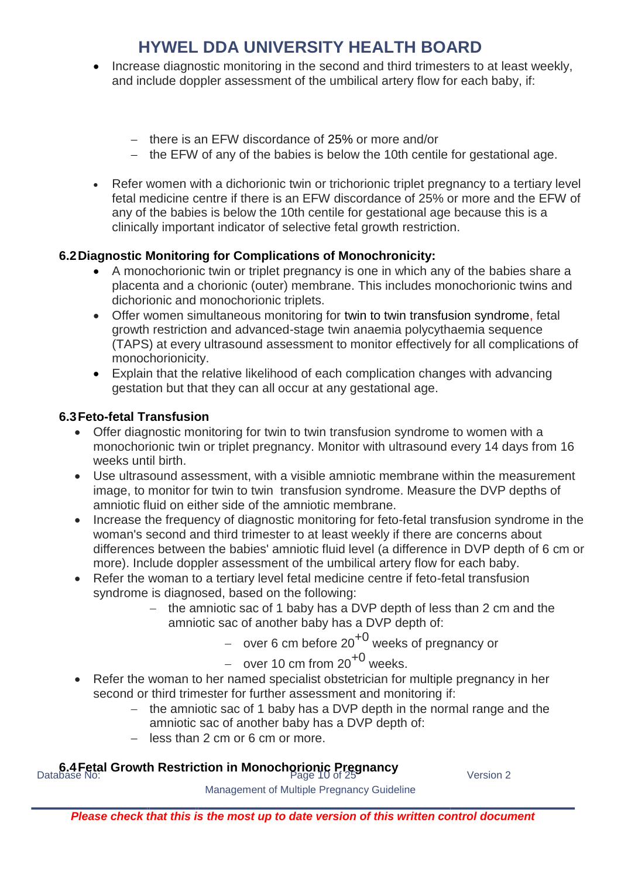- Increase diagnostic monitoring in the second and third trimesters to at least weekly. and include doppler assessment of the umbilical artery flow for each baby, if:
	- there is an EFW discordance of 25% or more and/or
	- the EFW of any of the babies is below the 10th centile for gestational age.
- Refer women with a dichorionic twin or trichorionic triplet pregnancy to a tertiary level fetal medicine centre if there is an EFW discordance of 25% or more and the EFW of any of the babies is below the 10th centile for gestational age because this is a clinically important indicator of selective fetal growth restriction.

#### **6.2Diagnostic Monitoring for Complications of Monochronicity:**

- A monochorionic twin or triplet pregnancy is one in which any of the babies share a placenta and a chorionic (outer) membrane. This includes monochorionic twins and dichorionic and monochorionic triplets.
- Offer women simultaneous monitoring for twin to twin transfusion syndrome, fetal growth restriction and advanced-stage twin anaemia polycythaemia sequence (TAPS) at every ultrasound assessment to monitor effectively for all complications of monochorionicity.
- Explain that the relative likelihood of each complication changes with advancing gestation but that they can all occur at any gestational age.

#### **6.3Feto-fetal Transfusion**

- Offer diagnostic monitoring for twin to twin transfusion syndrome to women with a monochorionic twin or triplet pregnancy. Monitor with ultrasound every 14 days from 16 weeks until birth.
- Use ultrasound assessment, with a visible amniotic membrane within the measurement image, to monitor for twin to twin transfusion syndrome. Measure the DVP depths of amniotic fluid on either side of the amniotic membrane.
- Increase the frequency of diagnostic monitoring for feto-fetal transfusion syndrome in the woman's second and third trimester to at least weekly if there are concerns about differences between the babies' amniotic fluid level (a difference in DVP depth of 6 cm or more). Include doppler assessment of the umbilical artery flow for each baby.
- Refer the woman to a tertiary level fetal medicine centre if feto-fetal transfusion syndrome is diagnosed, based on the following:
	- the amniotic sac of 1 baby has a DVP depth of less than 2 cm and the amniotic sac of another baby has a DVP depth of:
		- over 6 cm before  $20^{+0}$  weeks of pregnancy or
		- over 10 cm from  $20^{+0}$  weeks.
- Refer the woman to her named specialist obstetrician for multiple pregnancy in her second or third trimester for further assessment and monitoring if:
	- $-$  the amniotic sac of 1 baby has a DVP depth in the normal range and the amniotic sac of another baby has a DVP depth of:
	- less than 2 cm or 6 cm or more.

# **6.4 Fetal Growth Restriction in Monochorionic Pregnancy**<br>Database No: *Version 2*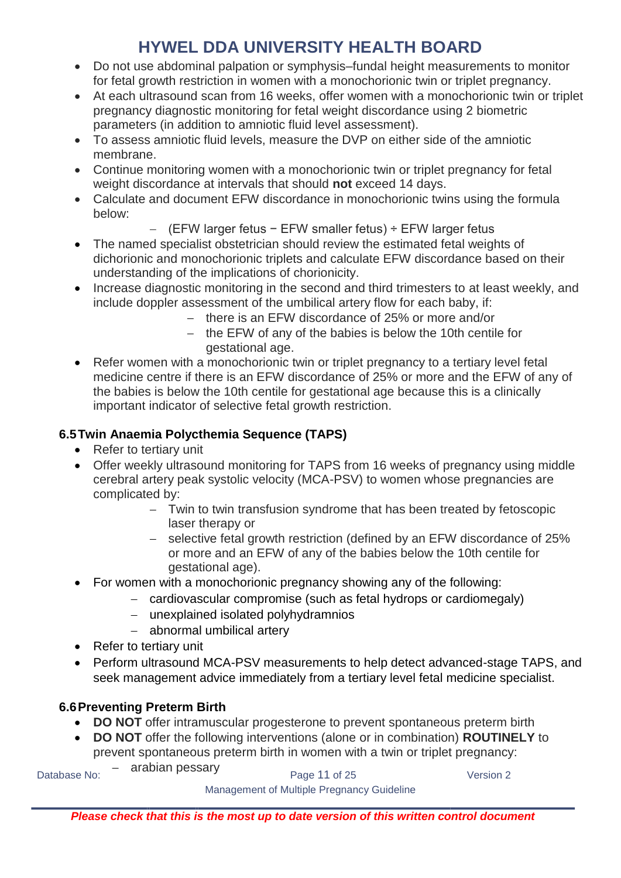- Do not use abdominal palpation or symphysis–fundal height measurements to monitor for fetal growth restriction in women with a monochorionic twin or triplet pregnancy.
- At each ultrasound scan from 16 weeks, offer women with a monochorionic twin or triplet pregnancy diagnostic monitoring for fetal weight discordance using 2 biometric parameters (in addition to amniotic fluid level assessment).
- To assess amniotic fluid levels, measure the DVP on either side of the amniotic membrane.
- Continue monitoring women with a monochorionic twin or triplet pregnancy for fetal weight discordance at intervals that should **not** exceed 14 days.
- Calculate and document EFW discordance in monochorionic twins using the formula below:
	- (EFW larger fetus − EFW smaller fetus) ÷ EFW larger fetus
- The named specialist obstetrician should review the estimated fetal weights of dichorionic and monochorionic triplets and calculate EFW discordance based on their understanding of the implications of chorionicity.
- Increase diagnostic monitoring in the second and third trimesters to at least weekly, and include doppler assessment of the umbilical artery flow for each baby, if:
	- there is an EFW discordance of 25% or more and/or
	- $-$  the EFW of any of the babies is below the 10th centile for gestational age.
- Refer women with a monochorionic twin or triplet pregnancy to a tertiary level fetal medicine centre if there is an EFW discordance of 25% or more and the EFW of any of the babies is below the 10th centile for gestational age because this is a clinically important indicator of selective fetal growth restriction.

#### **6.5Twin Anaemia Polycthemia Sequence (TAPS)**

- Refer to tertiary unit
- Offer weekly ultrasound monitoring for TAPS from 16 weeks of pregnancy using middle cerebral artery peak systolic velocity (MCA-PSV) to women whose pregnancies are complicated by:
	- Twin to twin transfusion syndrome that has been treated by fetoscopic laser therapy or
	- selective fetal growth restriction (defined by an EFW discordance of 25% or more and an EFW of any of the babies below the 10th centile for gestational age).
- For women with a monochorionic pregnancy showing any of the following:
	- cardiovascular compromise (such as fetal hydrops or cardiomegaly)
		- unexplained isolated polyhydramnios
		- abnormal umbilical artery
- Refer to tertiary unit
- Perform ultrasound MCA-PSV measurements to help detect advanced-stage TAPS, and seek management advice immediately from a tertiary level fetal medicine specialist.

#### **6.6Preventing Preterm Birth**

- **DO NOT** offer intramuscular progesterone to prevent spontaneous preterm birth
- **DO NOT** offer the following interventions (alone or in combination) **ROUTINELY** to prevent spontaneous preterm birth in women with a twin or triplet pregnancy:

arabian pessary

Database No: The analytic Page 11 of 25 Version 2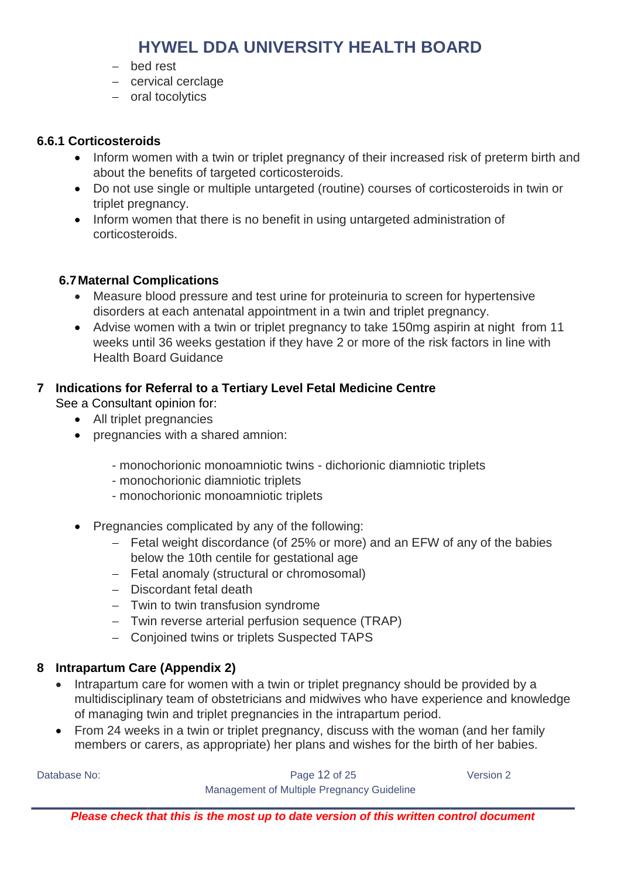- bed rest
- cervical cerclage
- oral tocolytics

#### **6.6.1 Corticosteroids**

- Inform women with a twin or triplet pregnancy of their increased risk of preterm birth and about the benefits of targeted corticosteroids.
- Do not use single or multiple untargeted (routine) courses of corticosteroids in twin or triplet pregnancy.
- Inform women that there is no benefit in using untargeted administration of corticosteroids.

#### **6.7Maternal Complications**

- Measure blood pressure and test urine for proteinuria to screen for hypertensive disorders at each antenatal appointment in a twin and triplet pregnancy.
- Advise women with a twin or triplet pregnancy to take 150mg aspirin at night from 11 weeks until 36 weeks gestation if they have 2 or more of the risk factors in line with Health Board Guidance

#### **7 Indications for Referral to a Tertiary Level Fetal Medicine Centre**

See a Consultant opinion for:

- All triplet pregnancies
- pregnancies with a shared amnion:
	- monochorionic monoamniotic twins dichorionic diamniotic triplets
	- monochorionic diamniotic triplets
	- monochorionic monoamniotic triplets
- Pregnancies complicated by any of the following:
	- Fetal weight discordance (of 25% or more) and an EFW of any of the babies below the 10th centile for gestational age
	- Fetal anomaly (structural or chromosomal)
	- Discordant fetal death
	- Twin to twin transfusion syndrome
	- Twin reverse arterial perfusion sequence (TRAP)
	- Conjoined twins or triplets Suspected TAPS

#### <span id="page-11-0"></span>**8 Intrapartum Care (Appendix 2)**

- Intrapartum care for women with a twin or triplet pregnancy should be provided by a multidisciplinary team of obstetricians and midwives who have experience and knowledge of managing twin and triplet pregnancies in the intrapartum period.
- From 24 weeks in a twin or triplet pregnancy, discuss with the woman (and her family members or carers, as appropriate) her plans and wishes for the birth of her babies.

Database No: Notabase No: Notabase Notabase Notabase 20 Version 2

Management of Multiple Pregnancy Guideline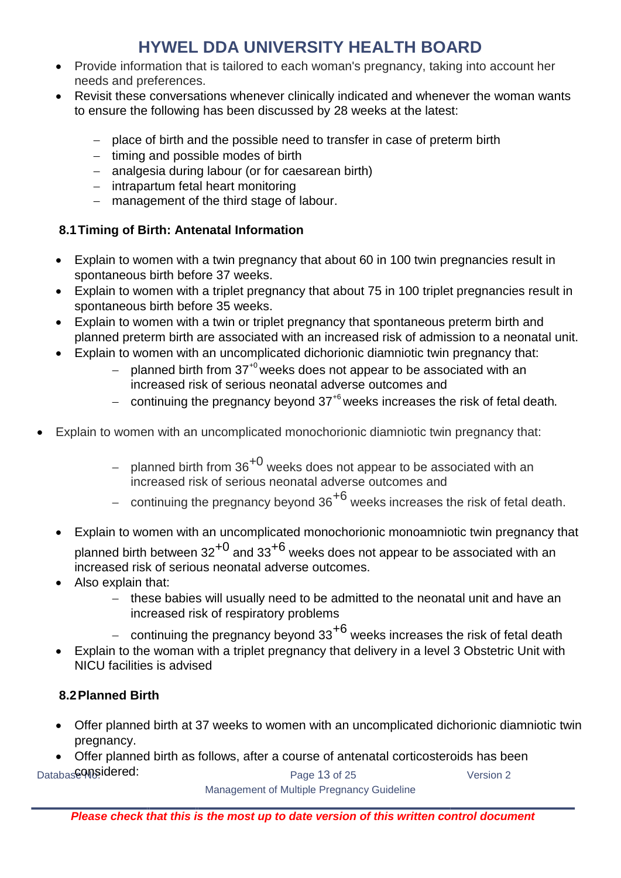- Provide information that is tailored to each woman's pregnancy, taking into account her needs and preferences.
- Revisit these conversations whenever clinically indicated and whenever the woman wants to ensure the following has been discussed by 28 weeks at the latest:
	- place of birth and the possible need to transfer in case of preterm birth
	- $-$  timing and possible modes of birth
	- analgesia during labour (or for caesarean birth)
	- intrapartum fetal heart monitoring
	- management of the third stage of labour.

#### **8.1Timing of Birth: Antenatal Information**

- Explain to women with a twin pregnancy that about 60 in 100 twin pregnancies result in spontaneous birth before 37 weeks.
- Explain to women with a triplet pregnancy that about 75 in 100 triplet pregnancies result in spontaneous birth before 35 weeks.
- Explain to women with a twin or triplet pregnancy that spontaneous preterm birth and planned preterm birth are associated with an increased risk of admission to a neonatal unit.
- Explain to women with an uncomplicated dichorionic diamniotic twin pregnancy that:
	- planned birth from  $37^{+0}$  weeks does not appear to be associated with an increased risk of serious neonatal adverse outcomes and
	- continuing the pregnancy beyond  $37<sup>6</sup>$  weeks increases the risk of fetal death.
- Explain to women with an uncomplicated monochorionic diamniotic twin pregnancy that:
	- planned birth from  $36^{+0}$  weeks does not appear to be associated with an increased risk of serious neonatal adverse outcomes and
	- continuing the pregnancy beyond  $36^{+6}$  weeks increases the risk of fetal death.
	- Explain to women with an uncomplicated monochorionic monoamniotic twin pregnancy that planned birth between  $32^{+0}$  and  $33^{+6}$  weeks does not appear to be associated with an increased risk of serious neonatal adverse outcomes.
	- Also explain that:
		- these babies will usually need to be admitted to the neonatal unit and have an increased risk of respiratory problems
		- continuing the pregnancy beyond 33<sup>+6</sup> weeks increases the risk of fetal death
	- Explain to the woman with a triplet pregnancy that delivery in a level 3 Obstetric Unit with NICU facilities is advised

#### **8.2Planned Birth**

- Offer planned birth at 37 weeks to women with an uncomplicated dichorionic diamniotic twin pregnancy.
- Databas**e And Superior Constructs** Page 13 of 25 Mersion 2 Offer planned birth as follows, after a course of antenatal corticosteroids has been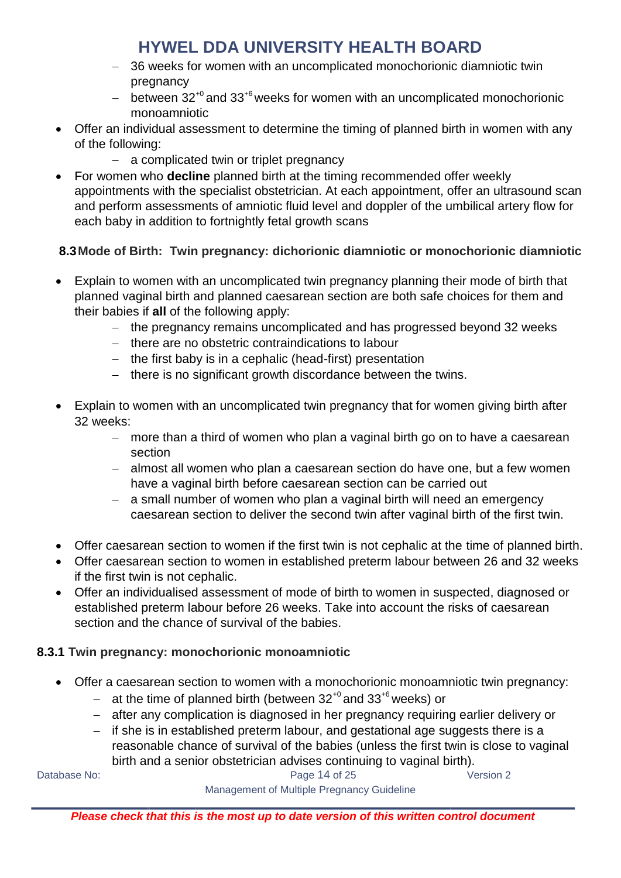- 36 weeks for women with an uncomplicated monochorionic diamniotic twin pregnancy
- between  $32^{+0}$  and  $33^{+6}$  weeks for women with an uncomplicated monochorionic monoamniotic
- Offer an individual assessment to determine the timing of planned birth in women with any of the following:
	- a complicated twin or triplet pregnancy
- For women who **decline** planned birth at the timing recommended offer weekly appointments with the specialist obstetrician. At each appointment, offer an ultrasound scan and perform assessments of amniotic fluid level and doppler of the umbilical artery flow for each baby in addition to fortnightly fetal growth scans

#### **8.3Mode of Birth: Twin pregnancy: dichorionic diamniotic or monochorionic diamniotic**

- Explain to women with an uncomplicated twin pregnancy planning their mode of birth that planned vaginal birth and planned caesarean section are both safe choices for them and their babies if **all** of the following apply:
	- the pregnancy remains uncomplicated and has progressed beyond 32 weeks
	- there are no obstetric contraindications to labour
	- $-$  the first baby is in a cephalic (head-first) presentation
	- there is no significant growth discordance between the twins.
- Explain to women with an uncomplicated twin pregnancy that for women giving birth after 32 weeks:
	- more than a third of women who plan a vaginal birth go on to have a caesarean section
	- almost all women who plan a caesarean section do have one, but a few women have a vaginal birth before caesarean section can be carried out
	- a small number of women who plan a vaginal birth will need an emergency caesarean section to deliver the second twin after vaginal birth of the first twin.
- Offer caesarean section to women if the first twin is not cephalic at the time of planned birth.
- Offer caesarean section to women in established preterm labour between 26 and 32 weeks if the first twin is not cephalic.
- Offer an individualised assessment of mode of birth to women in suspected, diagnosed or established preterm labour before 26 weeks. Take into account the risks of caesarean section and the chance of survival of the babies.

#### **8.3.1 Twin pregnancy: monochorionic monoamniotic**

- Offer a caesarean section to women with a monochorionic monoamniotic twin pregnancy:
	- at the time of planned birth (between  $32^{+0}$  and  $33^{+6}$  weeks) or
	- after any complication is diagnosed in her pregnancy requiring earlier delivery or
	- $-$  if she is in established preterm labour, and gestational age suggests there is a reasonable chance of survival of the babies (unless the first twin is close to vaginal birth and a senior obstetrician advises continuing to vaginal birth).

Database No: Notice and Contract the Cage 14 of 25 Version 2 Management of Multiple Pregnancy Guideline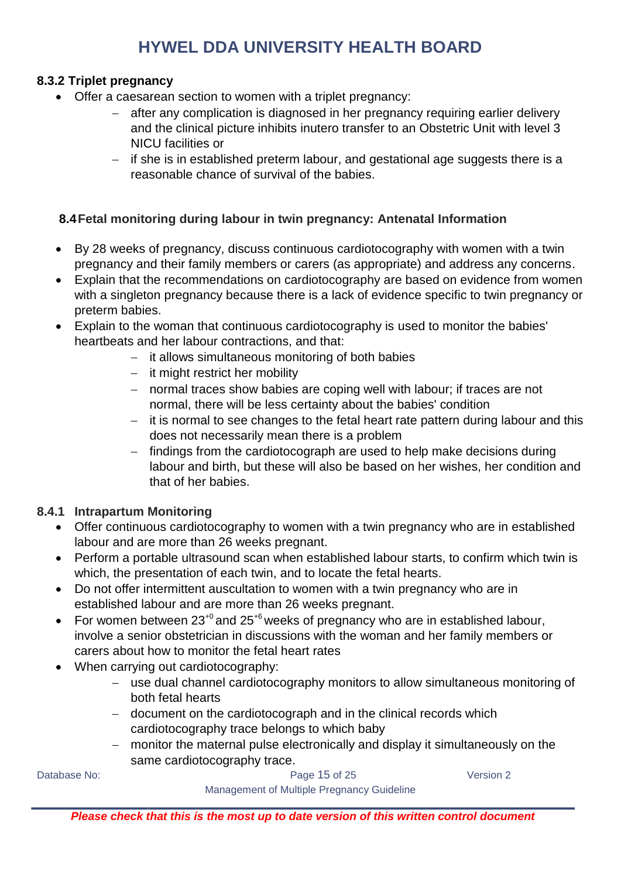#### **8.3.2 Triplet pregnancy**

- Offer a caesarean section to women with a triplet pregnancy:
	- after any complication is diagnosed in her pregnancy requiring earlier delivery and the clinical picture inhibits inutero transfer to an Obstetric Unit with level 3 NICU facilities or
	- $-$  if she is in established preterm labour, and gestational age suggests there is a reasonable chance of survival of the babies.

#### **8.4Fetal monitoring during labour in twin pregnancy: Antenatal Information**

- By 28 weeks of pregnancy, discuss continuous cardiotocography with women with a twin pregnancy and their family members or carers (as appropriate) and address any concerns.
- Explain that the recommendations on cardiotocography are based on evidence from women with a singleton pregnancy because there is a lack of evidence specific to twin pregnancy or preterm babies.
- Explain to the woman that continuous cardiotocography is used to monitor the babies' heartbeats and her labour contractions, and that:
	- $-$  it allows simultaneous monitoring of both babies
	- $-$  it might restrict her mobility
	- normal traces show babies are coping well with labour; if traces are not normal, there will be less certainty about the babies' condition
	- it is normal to see changes to the fetal heart rate pattern during labour and this does not necessarily mean there is a problem
	- findings from the cardiotocograph are used to help make decisions during labour and birth, but these will also be based on her wishes, her condition and that of her babies.

#### **8.4.1 Intrapartum Monitoring**

- Offer continuous cardiotocography to women with a twin pregnancy who are in established labour and are more than 26 weeks pregnant.
- Perform a portable ultrasound scan when established labour starts, to confirm which twin is which, the presentation of each twin, and to locate the fetal hearts.
- Do not offer intermittent auscultation to women with a twin pregnancy who are in established labour and are more than 26 weeks pregnant.
- For women between  $23^{+0}$  and  $25^{+6}$  weeks of pregnancy who are in established labour, involve a senior obstetrician in discussions with the woman and her family members or carers about how to monitor the fetal heart rates
- When carrying out cardiotocography:
	- use dual channel cardiotocography monitors to allow simultaneous monitoring of both fetal hearts
	- document on the cardiotocograph and in the clinical records which cardiotocography trace belongs to which baby
	- monitor the maternal pulse electronically and display it simultaneously on the same cardiotocography trace.

Database No: Notice and the Contract of the Page 15 of 25 Network 2012 19:30:20 Network 2012 19:30:20 Network

*Please check that this is the most up to date version of this written control document*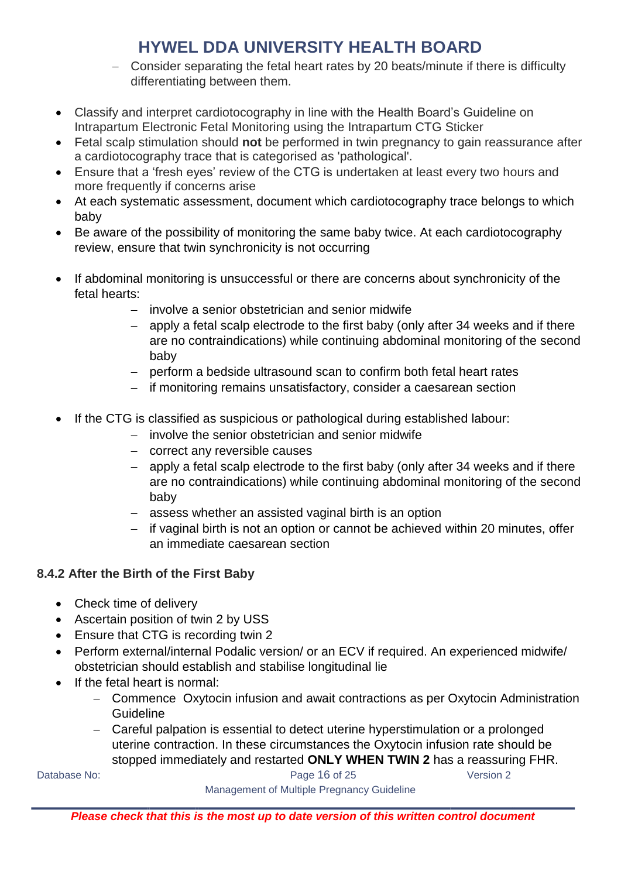- Consider separating the fetal heart rates by 20 beats/minute if there is difficulty differentiating between them.
- Classify and interpret cardiotocography in line with the Health Board's Guideline on Intrapartum Electronic Fetal Monitoring using the Intrapartum CTG Sticker
- Fetal scalp stimulation should **not** be performed in twin pregnancy to gain reassurance after a cardiotocography trace that is categorised as 'pathological'.
- Ensure that a 'fresh eyes' review of the CTG is undertaken at least every two hours and more frequently if concerns arise
- At each systematic assessment, document which cardiotocography trace belongs to which baby
- Be aware of the possibility of monitoring the same baby twice. At each cardiotocography review, ensure that twin synchronicity is not occurring
- If abdominal monitoring is unsuccessful or there are concerns about synchronicity of the fetal hearts:
	- involve a senior obstetrician and senior midwife
	- apply a fetal scalp electrode to the first baby (only after 34 weeks and if there are no contraindications) while continuing abdominal monitoring of the second baby
	- perform a bedside ultrasound scan to confirm both fetal heart rates
	- if monitoring remains unsatisfactory, consider a caesarean section
- If the CTG is classified as suspicious or pathological during established labour:
	- involve the senior obstetrician and senior midwife
		- correct any reversible causes
		- apply a fetal scalp electrode to the first baby (only after 34 weeks and if there are no contraindications) while continuing abdominal monitoring of the second baby
		- assess whether an assisted vaginal birth is an option
	- $-$  if vaginal birth is not an option or cannot be achieved within 20 minutes, offer an immediate caesarean section

#### **8.4.2 After the Birth of the First Baby**

- Check time of delivery
- Ascertain position of twin 2 by USS
- Ensure that CTG is recording twin 2
- Perform external/internal Podalic version/ or an ECV if required. An experienced midwife/ obstetrician should establish and stabilise longitudinal lie
- If the fetal heart is normal:
	- Commence Oxytocin infusion and await contractions as per Oxytocin Administration **Guideline**
	- Careful palpation is essential to detect uterine hyperstimulation or a prolonged uterine contraction. In these circumstances the Oxytocin infusion rate should be stopped immediately and restarted **ONLY WHEN TWIN 2** has a reassuring FHR.

Database No: Notice and Contract the Cage 16 of 25 Version 2 Management of Multiple Pregnancy Guideline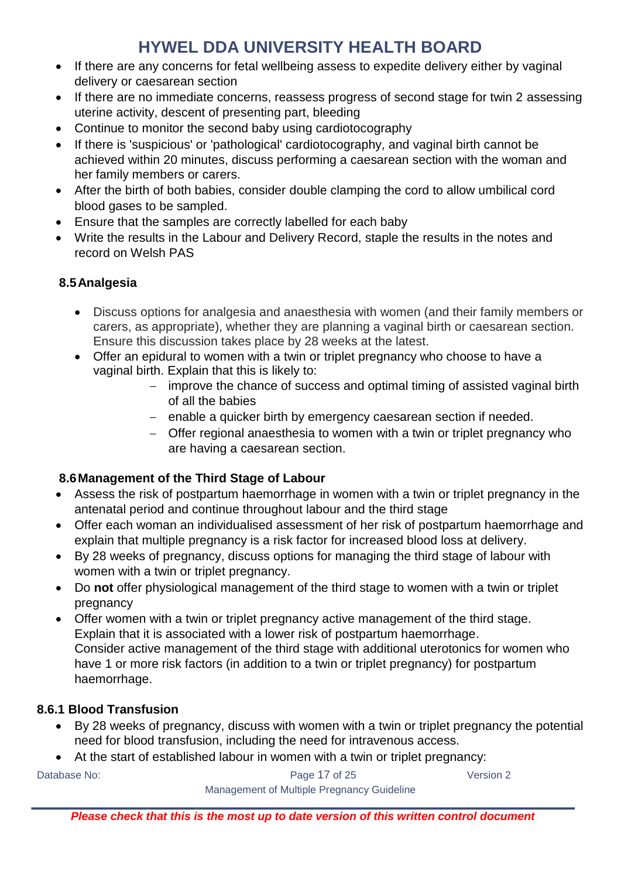- If there are any concerns for fetal wellbeing assess to expedite delivery either by vaginal delivery or caesarean section
- If there are no immediate concerns, reassess progress of second stage for twin 2 assessing uterine activity, descent of presenting part, bleeding
- Continue to monitor the second baby using cardiotocography
- If there is 'suspicious' or 'pathological' cardiotocography, and vaginal birth cannot be achieved within 20 minutes, discuss performing a caesarean section with the woman and her family members or carers.
- After the birth of both babies, consider double clamping the cord to allow umbilical cord blood gases to be sampled.
- Ensure that the samples are correctly labelled for each baby
- Write the results in the Labour and Delivery Record, staple the results in the notes and record on Welsh PAS

#### **8.5Analgesia**

- Discuss options for analgesia and anaesthesia with women (and their family members or carers, as appropriate), whether they are planning a vaginal birth or caesarean section. Ensure this discussion takes place by 28 weeks at the latest.
- Offer an epidural to women with a twin or triplet pregnancy who choose to have a vaginal birth. Explain that this is likely to:
	- improve the chance of success and optimal timing of assisted vaginal birth of all the babies
	- enable a quicker birth by emergency caesarean section if needed.
	- Offer regional anaesthesia to women with a twin or triplet pregnancy who are having a caesarean section.

#### **8.6Management of the Third Stage of Labour**

- Assess the risk of postpartum haemorrhage in women with a twin or triplet pregnancy in the antenatal period and continue throughout labour and the third stage
- Offer each woman an individualised assessment of her risk of postpartum haemorrhage and explain that multiple pregnancy is a risk factor for increased blood loss at delivery.
- By 28 weeks of pregnancy, discuss options for managing the third stage of labour with women with a twin or triplet pregnancy.
- Do **not** offer physiological management of the third stage to women with a twin or triplet pregnancy
- Offer women with a twin or triplet pregnancy active management of the third stage. Explain that it is associated with a lower risk of postpartum haemorrhage. Consider active management of the third stage with additional uterotonics for women who have 1 or more risk factors (in addition to a twin or triplet pregnancy) for postpartum haemorrhage.

#### **8.6.1 Blood Transfusion**

- By 28 weeks of pregnancy, discuss with women with a twin or triplet pregnancy the potential need for blood transfusion, including the need for intravenous access.
- At the start of established labour in women with a twin or triplet pregnancy:

Database No: Notabase No: Notabase Notabase 2 Management of Multiple Pregnancy Guideline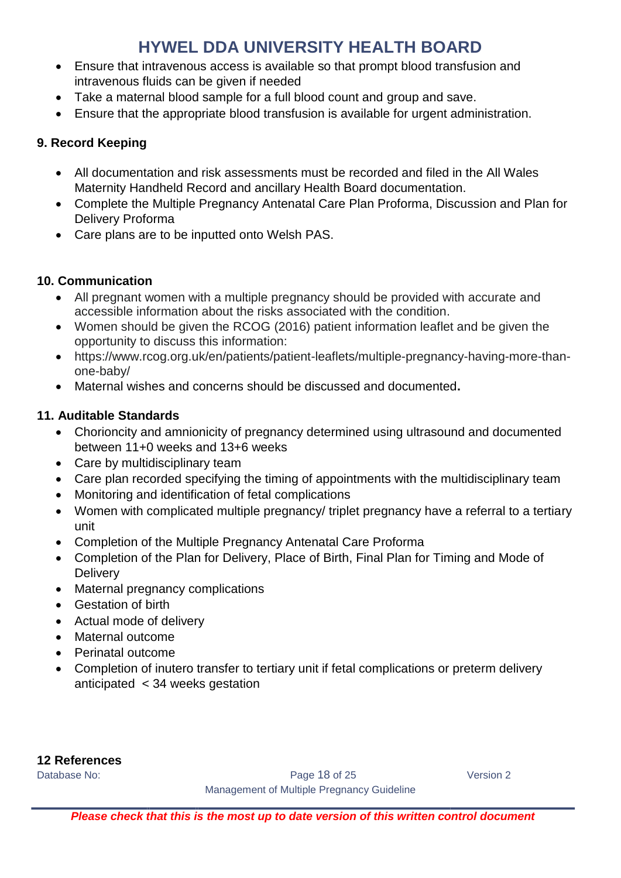- Ensure that intravenous access is available so that prompt blood transfusion and intravenous fluids can be given if needed
- Take a maternal blood sample for a full blood count and group and save.
- Ensure that the appropriate blood transfusion is available for urgent administration.

#### **9. Record Keeping**

- All documentation and risk assessments must be recorded and filed in the All Wales Maternity Handheld Record and ancillary Health Board documentation.
- Complete the Multiple Pregnancy Antenatal Care Plan Proforma, Discussion and Plan for Delivery Proforma
- Care plans are to be inputted onto Welsh PAS.

#### **10. Communication**

- All pregnant women with a multiple pregnancy should be provided with accurate and accessible information about the risks associated with the condition.
- Women should be given the RCOG (2016) patient information leaflet and be given the opportunity to discuss this information:
- https://www.rcog.org.uk/en/patients/patient-leaflets/multiple-pregnancy-having-more-thanone-baby/
- Maternal wishes and concerns should be discussed and documented**.**

#### **11. Auditable Standards**

- Chorioncity and amnionicity of pregnancy determined using ultrasound and documented between 11+0 weeks and 13+6 weeks
- Care by multidisciplinary team
- Care plan recorded specifying the timing of appointments with the multidisciplinary team
- Monitoring and identification of fetal complications
- Women with complicated multiple pregnancy/ triplet pregnancy have a referral to a tertiary unit
- Completion of the Multiple Pregnancy Antenatal Care Proforma
- Completion of the Plan for Delivery, Place of Birth, Final Plan for Timing and Mode of **Delivery**
- Maternal pregnancy complications
- Gestation of birth
- Actual mode of delivery
- Maternal outcome
- Perinatal outcome
- Completion of inutero transfer to tertiary unit if fetal complications or preterm delivery anticipated < 34 weeks gestation

**12 References**

Database No: Notice and Contract the Cage 18 of 25 Version 2 Management of Multiple Pregnancy Guideline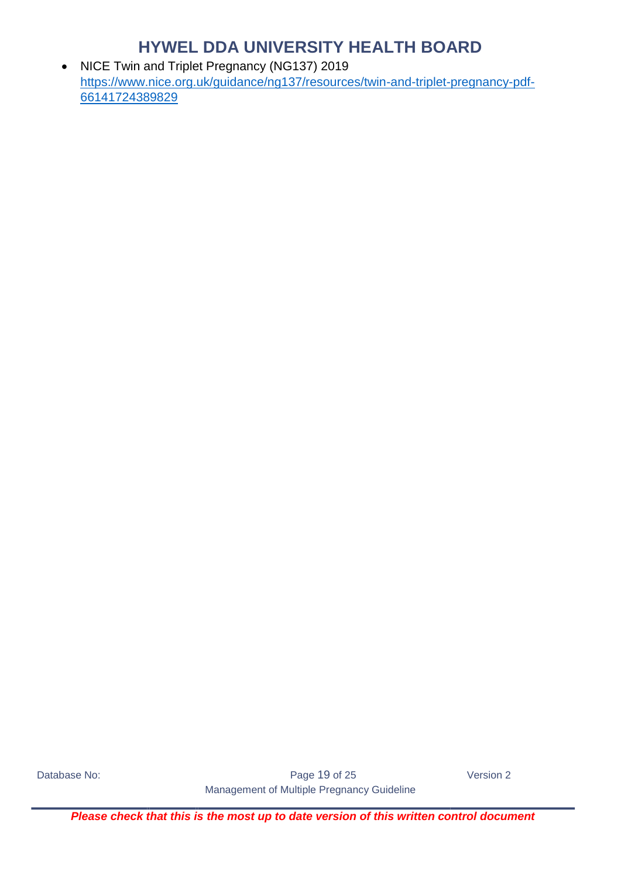• NICE Twin and Triplet Pregnancy (NG137) 2019 [https://www.nice.org.uk/guidance/ng137/resources/twin-and-triplet-pregnancy-pdf-](https://www.nice.org.uk/guidance/ng137/resources/twin-and-triplet-pregnancy-pdf-66141724389829)[66141724389829](https://www.nice.org.uk/guidance/ng137/resources/twin-and-triplet-pregnancy-pdf-66141724389829)

Database No: Notice and Contract the Cage 19 of 25 Version 2 Management of Multiple Pregnancy Guideline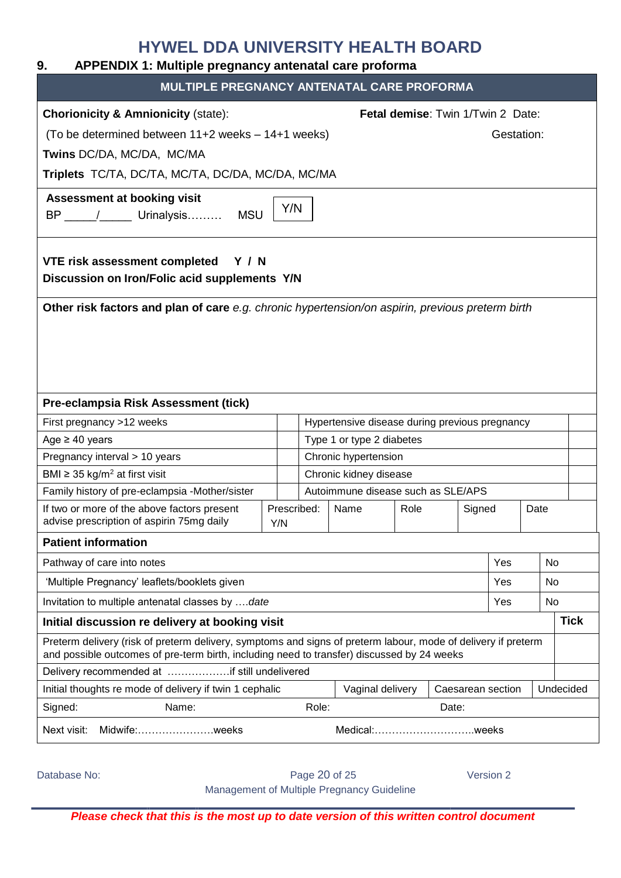#### <span id="page-19-0"></span>**9. APPENDIX 1: Multiple pregnancy antenatal care proforma**

| MULTIPLE PREGNANCY ANTENATAL CARE PROFORMA                                                                                                                                                                  |                    |       |                                                |      |                                   |     |      |             |
|-------------------------------------------------------------------------------------------------------------------------------------------------------------------------------------------------------------|--------------------|-------|------------------------------------------------|------|-----------------------------------|-----|------|-------------|
| <b>Chorionicity &amp; Amnionicity (state):</b>                                                                                                                                                              |                    |       |                                                |      | Fetal demise: Twin 1/Twin 2 Date: |     |      |             |
| (To be determined between 11+2 weeks - 14+1 weeks)<br>Gestation:                                                                                                                                            |                    |       |                                                |      |                                   |     |      |             |
| Twins DC/DA, MC/DA, MC/MA                                                                                                                                                                                   |                    |       |                                                |      |                                   |     |      |             |
| Triplets TC/TA, DC/TA, MC/TA, DC/DA, MC/DA, MC/MA                                                                                                                                                           |                    |       |                                                |      |                                   |     |      |             |
|                                                                                                                                                                                                             |                    |       |                                                |      |                                   |     |      |             |
| <b>Assessment at booking visit</b><br>BP _____/ ______ Urinalysis MSU                                                                                                                                       | Y/N                |       |                                                |      |                                   |     |      |             |
| <b>VTE risk assessment completed</b><br><b>Y</b> / N<br>Discussion on Iron/Folic acid supplements Y/N                                                                                                       |                    |       |                                                |      |                                   |     |      |             |
| Other risk factors and plan of care e.g. chronic hypertension/on aspirin, previous preterm birth                                                                                                            |                    |       |                                                |      |                                   |     |      |             |
| Pre-eclampsia Risk Assessment (tick)                                                                                                                                                                        |                    |       |                                                |      |                                   |     |      |             |
| First pregnancy >12 weeks                                                                                                                                                                                   |                    |       | Hypertensive disease during previous pregnancy |      |                                   |     |      |             |
| Age $\geq 40$ years                                                                                                                                                                                         |                    |       | Type 1 or type 2 diabetes                      |      |                                   |     |      |             |
| Pregnancy interval > 10 years                                                                                                                                                                               |                    |       | Chronic hypertension                           |      |                                   |     |      |             |
| BMI $\geq$ 35 kg/m <sup>2</sup> at first visit                                                                                                                                                              |                    |       | Chronic kidney disease                         |      |                                   |     |      |             |
| Family history of pre-eclampsia -Mother/sister                                                                                                                                                              |                    |       | Autoimmune disease such as SLE/APS             |      |                                   |     |      |             |
| If two or more of the above factors present<br>advise prescription of aspirin 75mg daily                                                                                                                    | Prescribed:<br>Y/N |       | Name                                           | Role | Signed                            |     | Date |             |
| <b>Patient information</b>                                                                                                                                                                                  |                    |       |                                                |      |                                   |     |      |             |
| Pathway of care into notes                                                                                                                                                                                  |                    |       |                                                |      |                                   | Yes |      | No.         |
| 'Multiple Pregnancy' leaflets/booklets given                                                                                                                                                                |                    |       |                                                |      |                                   | Yes |      | No          |
| Invitation to multiple antenatal classes by date                                                                                                                                                            |                    |       |                                                |      |                                   | Yes |      | No          |
| Initial discussion re delivery at booking visit                                                                                                                                                             |                    |       |                                                |      |                                   |     |      | <b>Tick</b> |
| Preterm delivery (risk of preterm delivery, symptoms and signs of preterm labour, mode of delivery if preterm<br>and possible outcomes of pre-term birth, including need to transfer) discussed by 24 weeks |                    |       |                                                |      |                                   |     |      |             |
| Delivery recommended at if still undelivered                                                                                                                                                                |                    |       |                                                |      |                                   |     |      |             |
| Initial thoughts re mode of delivery if twin 1 cephalic                                                                                                                                                     |                    |       | Vaginal delivery                               |      | Caesarean section                 |     |      | Undecided   |
| Signed:<br>Name:                                                                                                                                                                                            |                    | Role: |                                                |      | Date:                             |     |      |             |
| Next visit:<br>Midwife:weeks                                                                                                                                                                                |                    |       |                                                |      | Medical:weeks                     |     |      |             |

Database No: Notabase No: Notabase Notabase Notabase 20 of 25 Version 2 Management of Multiple Pregnancy Guideline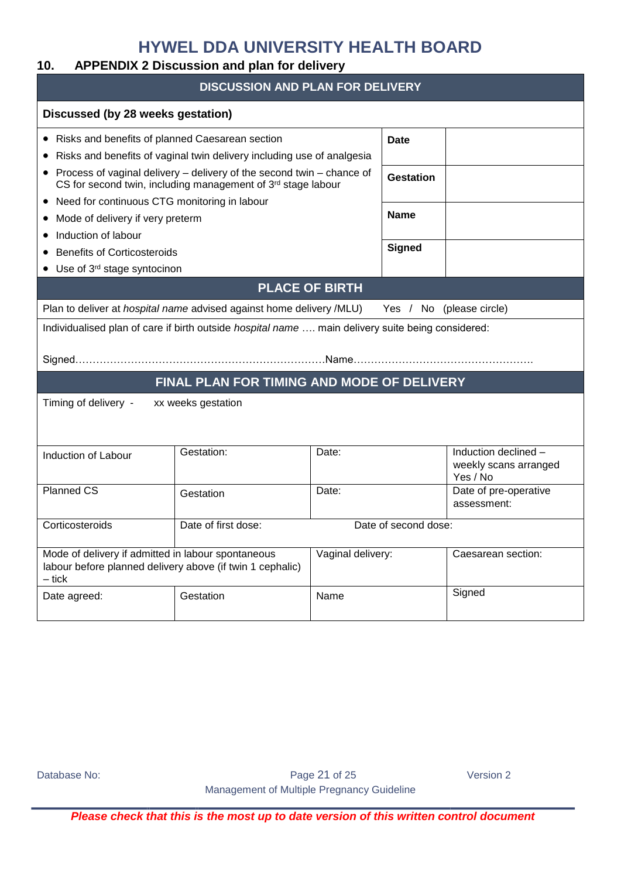#### <span id="page-20-0"></span>**10. APPENDIX 2 Discussion and plan for delivery**

| <b>DISCUSSION AND PLAN FOR DELIVERY</b>                                                                                     |                                                                                                                                       |                       |                          |                                                           |  |  |  |
|-----------------------------------------------------------------------------------------------------------------------------|---------------------------------------------------------------------------------------------------------------------------------------|-----------------------|--------------------------|-----------------------------------------------------------|--|--|--|
| Discussed (by 28 weeks gestation)                                                                                           |                                                                                                                                       |                       |                          |                                                           |  |  |  |
| • Risks and benefits of planned Caesarean section                                                                           |                                                                                                                                       |                       | Date                     |                                                           |  |  |  |
|                                                                                                                             | Risks and benefits of vaginal twin delivery including use of analgesia                                                                |                       |                          |                                                           |  |  |  |
| $\bullet$                                                                                                                   | Process of vaginal delivery – delivery of the second twin – chance of<br>CS for second twin, including management of 3rd stage labour |                       | Gestation                |                                                           |  |  |  |
| • Need for continuous CTG monitoring in labour                                                                              |                                                                                                                                       |                       |                          |                                                           |  |  |  |
| Mode of delivery if very preterm                                                                                            |                                                                                                                                       |                       | <b>Name</b>              |                                                           |  |  |  |
| Induction of labour                                                                                                         |                                                                                                                                       |                       |                          |                                                           |  |  |  |
| <b>Benefits of Corticosteroids</b>                                                                                          |                                                                                                                                       |                       | <b>Signed</b>            |                                                           |  |  |  |
| $\bullet$ Use of 3 <sup>rd</sup> stage syntocinon                                                                           |                                                                                                                                       |                       |                          |                                                           |  |  |  |
|                                                                                                                             |                                                                                                                                       | <b>PLACE OF BIRTH</b> |                          |                                                           |  |  |  |
|                                                                                                                             | Plan to deliver at hospital name advised against home delivery /MLU)                                                                  |                       | Yes / No (please circle) |                                                           |  |  |  |
|                                                                                                                             | Individualised plan of care if birth outside hospital name  main delivery suite being considered:                                     |                       |                          |                                                           |  |  |  |
|                                                                                                                             |                                                                                                                                       |                       |                          |                                                           |  |  |  |
|                                                                                                                             | FINAL PLAN FOR TIMING AND MODE OF DELIVERY                                                                                            |                       |                          |                                                           |  |  |  |
| Timing of delivery -                                                                                                        | xx weeks gestation                                                                                                                    |                       |                          |                                                           |  |  |  |
| Induction of Labour                                                                                                         | Gestation:                                                                                                                            | Date:                 |                          | Induction declined -<br>weekly scans arranged<br>Yes / No |  |  |  |
| <b>Planned CS</b>                                                                                                           | Date:<br>Date of pre-operative<br>Gestation<br>assessment:                                                                            |                       |                          |                                                           |  |  |  |
| Corticosteroids                                                                                                             | Date of first dose:                                                                                                                   |                       | Date of second dose:     |                                                           |  |  |  |
| Mode of delivery if admitted in labour spontaneous<br>labour before planned delivery above (if twin 1 cephalic)<br>$-$ tick | Vaginal delivery:                                                                                                                     |                       | Caesarean section:       |                                                           |  |  |  |
| Date agreed:                                                                                                                | Signed<br>Gestation<br>Name                                                                                                           |                       |                          |                                                           |  |  |  |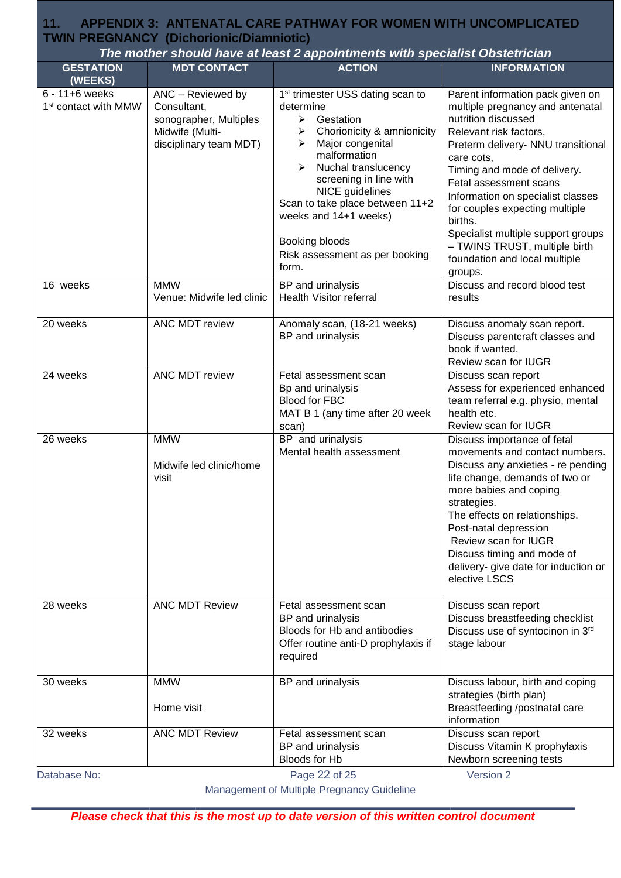# <span id="page-21-0"></span>**TWIN PREGNANCY (Dichorionic/Diamniotic)**<br>The mother should have at least 2 annointments with specialist ( **11. APPENDIX 3: ANTENATAL CARE PATHWAY FOR WOMEN WITH UNCOMPLICATED**

| The mother should have at least 2 appointments with specialist Obstetrician |                                                                                                         |                                                                                                                                                                                                                                                                                                                                                                                      |                                                                                                                                                                                                                                                                                                                                                                                                                                          |  |  |
|-----------------------------------------------------------------------------|---------------------------------------------------------------------------------------------------------|--------------------------------------------------------------------------------------------------------------------------------------------------------------------------------------------------------------------------------------------------------------------------------------------------------------------------------------------------------------------------------------|------------------------------------------------------------------------------------------------------------------------------------------------------------------------------------------------------------------------------------------------------------------------------------------------------------------------------------------------------------------------------------------------------------------------------------------|--|--|
| <b>GESTATION</b>                                                            | <b>MDT CONTACT</b>                                                                                      | <b>ACTION</b>                                                                                                                                                                                                                                                                                                                                                                        | <b>INFORMATION</b>                                                                                                                                                                                                                                                                                                                                                                                                                       |  |  |
| (WEEKS)<br>$6 - 11 + 6$ weeks<br>1 <sup>st</sup> contact with MMW           | ANC - Reviewed by<br>Consultant,<br>sonographer, Multiples<br>Midwife (Multi-<br>disciplinary team MDT) | 1 <sup>st</sup> trimester USS dating scan to<br>determine<br>$\blacktriangleright$<br>Gestation<br>Chorionicity & amnionicity<br>➤<br>Major congenital<br>➤<br>malformation<br>➤<br>Nuchal translucency<br>screening in line with<br><b>NICE</b> guidelines<br>Scan to take place between 11+2<br>weeks and 14+1 weeks)<br>Booking bloods<br>Risk assessment as per booking<br>form. | Parent information pack given on<br>multiple pregnancy and antenatal<br>nutrition discussed<br>Relevant risk factors,<br>Preterm delivery- NNU transitional<br>care cots,<br>Timing and mode of delivery.<br>Fetal assessment scans<br>Information on specialist classes<br>for couples expecting multiple<br>births.<br>Specialist multiple support groups<br>- TWINS TRUST, multiple birth<br>foundation and local multiple<br>groups. |  |  |
| 16 weeks                                                                    | <b>MMW</b><br>Venue: Midwife led clinic                                                                 | BP and urinalysis<br><b>Health Visitor referral</b>                                                                                                                                                                                                                                                                                                                                  | Discuss and record blood test<br>results                                                                                                                                                                                                                                                                                                                                                                                                 |  |  |
| 20 weeks                                                                    | ANC MDT review                                                                                          | Anomaly scan, (18-21 weeks)<br>BP and urinalysis                                                                                                                                                                                                                                                                                                                                     | Discuss anomaly scan report.<br>Discuss parentcraft classes and<br>book if wanted.<br>Review scan for IUGR                                                                                                                                                                                                                                                                                                                               |  |  |
| 24 weeks                                                                    | <b>ANC MDT review</b>                                                                                   | Fetal assessment scan<br>Bp and urinalysis<br><b>Blood for FBC</b><br>MAT B 1 (any time after 20 week<br>scan)                                                                                                                                                                                                                                                                       | Discuss scan report<br>Assess for experienced enhanced<br>team referral e.g. physio, mental<br>health etc.<br>Review scan for IUGR                                                                                                                                                                                                                                                                                                       |  |  |
| 26 weeks                                                                    | <b>MMW</b><br>Midwife led clinic/home<br>visit                                                          | BP and urinalysis<br>Mental health assessment                                                                                                                                                                                                                                                                                                                                        | Discuss importance of fetal<br>movements and contact numbers.<br>Discuss any anxieties - re pending<br>life change, demands of two or<br>more babies and coping<br>strategies.<br>The effects on relationships.<br>Post-natal depression<br>Review scan for IUGR<br>Discuss timing and mode of<br>delivery- give date for induction or<br>elective LSCS                                                                                  |  |  |
| 28 weeks                                                                    | <b>ANC MDT Review</b>                                                                                   | Fetal assessment scan<br>BP and urinalysis<br>Bloods for Hb and antibodies<br>Offer routine anti-D prophylaxis if<br>required                                                                                                                                                                                                                                                        | Discuss scan report<br>Discuss breastfeeding checklist<br>Discuss use of syntocinon in 3rd<br>stage labour                                                                                                                                                                                                                                                                                                                               |  |  |
| 30 weeks                                                                    | <b>MMW</b><br>Home visit                                                                                | BP and urinalysis                                                                                                                                                                                                                                                                                                                                                                    | Discuss labour, birth and coping<br>strategies (birth plan)<br>Breastfeeding /postnatal care<br>information                                                                                                                                                                                                                                                                                                                              |  |  |
| 32 weeks<br>Database No:                                                    | <b>ANC MDT Review</b>                                                                                   | Fetal assessment scan<br>BP and urinalysis<br>Bloods for Hb<br>Page 22 of 25                                                                                                                                                                                                                                                                                                         | Discuss scan report<br>Discuss Vitamin K prophylaxis<br>Newborn screening tests<br>Version 2                                                                                                                                                                                                                                                                                                                                             |  |  |

Management of Multiple Pregnancy Guideline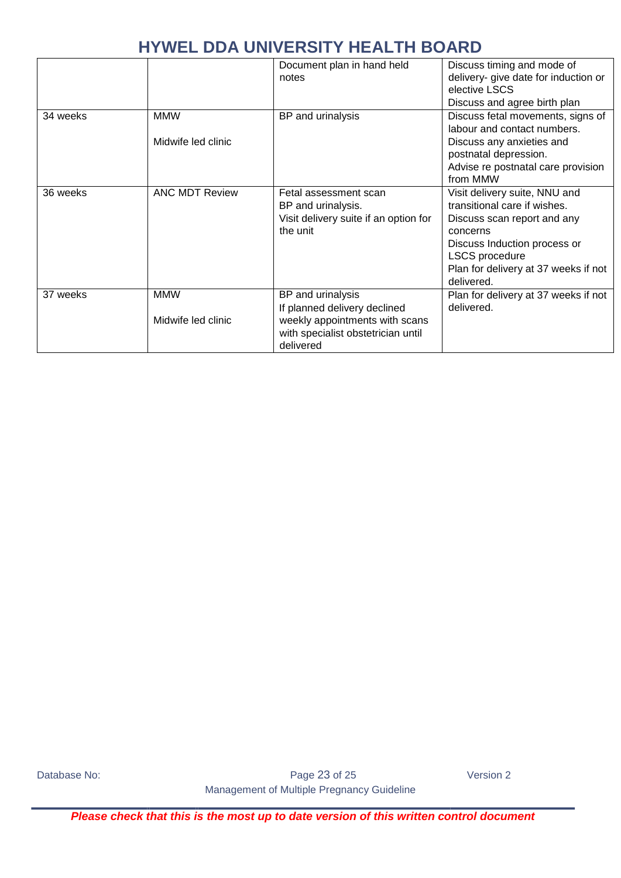|          |                                  | Document plan in hand held<br>notes                                                                                                    | Discuss timing and mode of<br>delivery- give date for induction or<br>elective LSCS<br>Discuss and agree birth plan                                                                                                     |
|----------|----------------------------------|----------------------------------------------------------------------------------------------------------------------------------------|-------------------------------------------------------------------------------------------------------------------------------------------------------------------------------------------------------------------------|
| 34 weeks | <b>MMW</b><br>Midwife led clinic | BP and urinalysis                                                                                                                      | Discuss fetal movements, signs of<br>labour and contact numbers.<br>Discuss any anxieties and<br>postnatal depression.<br>Advise re postnatal care provision<br>from MMW                                                |
| 36 weeks | <b>ANC MDT Review</b>            | Fetal assessment scan<br>BP and urinalysis.<br>Visit delivery suite if an option for<br>the unit                                       | Visit delivery suite, NNU and<br>transitional care if wishes.<br>Discuss scan report and any<br>concerns<br>Discuss Induction process or<br><b>LSCS</b> procedure<br>Plan for delivery at 37 weeks if not<br>delivered. |
| 37 weeks | <b>MMW</b><br>Midwife led clinic | BP and urinalysis<br>If planned delivery declined<br>weekly appointments with scans<br>with specialist obstetrician until<br>delivered | Plan for delivery at 37 weeks if not<br>delivered.                                                                                                                                                                      |

Database No: Notabase No: Notabase Notabase Notabase 23 of 25 Version 2 Management of Multiple Pregnancy Guideline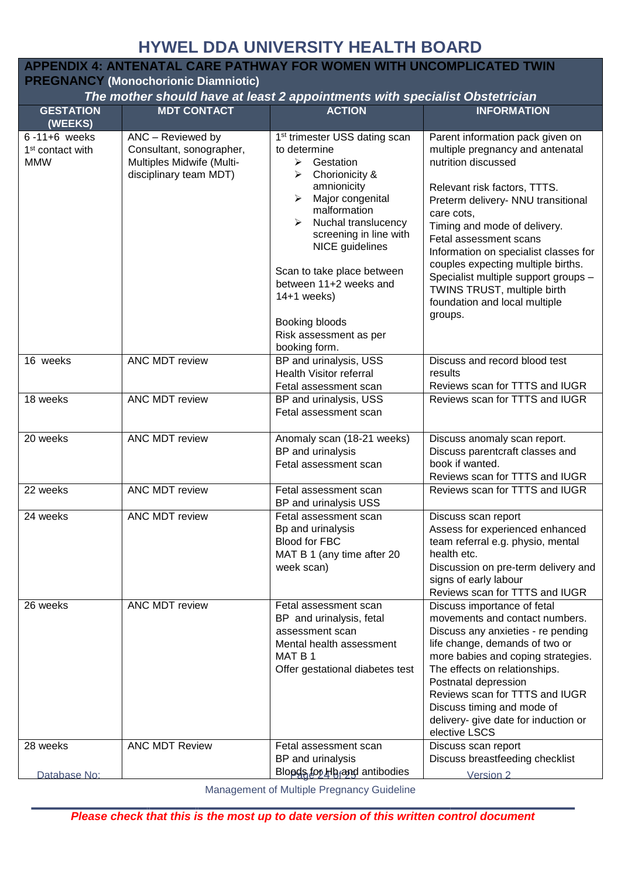#### <span id="page-23-0"></span>**APPENDIX 4: ANTENATAL CARE PATHWAY FOR WOMEN WITH UNCOMPLICATED TWIN**

**PREGNANCY (Monochorionic Diamniotic)**

#### *The mother should have at least 2 appointments with specialist Obstetrician*

| <b>GESTATION</b><br>(WEEKS)                                      | <b>MDT CONTACT</b>                                                                                   | <b>ACTION</b>                                                                                                                                                                                                                                                                                                                                                                                 | <b>INFORMATION</b>                                                                                                                                                                                                                                                                                                                                                                                                                          |
|------------------------------------------------------------------|------------------------------------------------------------------------------------------------------|-----------------------------------------------------------------------------------------------------------------------------------------------------------------------------------------------------------------------------------------------------------------------------------------------------------------------------------------------------------------------------------------------|---------------------------------------------------------------------------------------------------------------------------------------------------------------------------------------------------------------------------------------------------------------------------------------------------------------------------------------------------------------------------------------------------------------------------------------------|
| $6 - 11 + 6$ weeks<br>1 <sup>st</sup> contact with<br><b>MMW</b> | ANC - Reviewed by<br>Consultant, sonographer,<br>Multiples Midwife (Multi-<br>disciplinary team MDT) | 1 <sup>st</sup> trimester USS dating scan<br>to determine<br>$\blacktriangleright$<br>Gestation<br>Chorionicity &<br>➤<br>amnionicity<br>Major congenital<br>➤<br>malformation<br>Nuchal translucency<br>≻<br>screening in line with<br>NICE guidelines<br>Scan to take place between<br>between 11+2 weeks and<br>$14+1$ weeks)<br>Booking bloods<br>Risk assessment as per<br>booking form. | Parent information pack given on<br>multiple pregnancy and antenatal<br>nutrition discussed<br>Relevant risk factors, TTTS.<br>Preterm delivery- NNU transitional<br>care cots,<br>Timing and mode of delivery.<br>Fetal assessment scans<br>Information on specialist classes for<br>couples expecting multiple births.<br>Specialist multiple support groups -<br>TWINS TRUST, multiple birth<br>foundation and local multiple<br>groups. |
| 16 weeks                                                         | ANC MDT review                                                                                       | BP and urinalysis, USS<br><b>Health Visitor referral</b><br>Fetal assessment scan                                                                                                                                                                                                                                                                                                             | Discuss and record blood test<br>results<br>Reviews scan for TTTS and IUGR                                                                                                                                                                                                                                                                                                                                                                  |
| 18 weeks                                                         | <b>ANC MDT review</b>                                                                                | BP and urinalysis, USS<br>Fetal assessment scan                                                                                                                                                                                                                                                                                                                                               | Reviews scan for TTTS and IUGR                                                                                                                                                                                                                                                                                                                                                                                                              |
| 20 weeks                                                         | ANC MDT review                                                                                       | Anomaly scan (18-21 weeks)<br>BP and urinalysis<br>Fetal assessment scan                                                                                                                                                                                                                                                                                                                      | Discuss anomaly scan report.<br>Discuss parentcraft classes and<br>book if wanted.<br>Reviews scan for TTTS and IUGR                                                                                                                                                                                                                                                                                                                        |
| 22 weeks                                                         | ANC MDT review                                                                                       | Fetal assessment scan<br>BP and urinalysis USS                                                                                                                                                                                                                                                                                                                                                | Reviews scan for TTTS and IUGR                                                                                                                                                                                                                                                                                                                                                                                                              |
| 24 weeks                                                         | ANC MDT review                                                                                       | Fetal assessment scan<br>Bp and urinalysis<br><b>Blood for FBC</b><br>MAT B 1 (any time after 20<br>week scan)                                                                                                                                                                                                                                                                                | Discuss scan report<br>Assess for experienced enhanced<br>team referral e.g. physio, mental<br>health etc.<br>Discussion on pre-term delivery and<br>signs of early labour<br>Reviews scan for TTTS and IUGR                                                                                                                                                                                                                                |
| 26 weeks                                                         | <b>ANC MDT review</b>                                                                                | Fetal assessment scan<br>BP and urinalysis, fetal<br>assessment scan<br>Mental health assessment<br>MAT <sub>B1</sub><br>Offer gestational diabetes test                                                                                                                                                                                                                                      | Discuss importance of fetal<br>movements and contact numbers.<br>Discuss any anxieties - re pending<br>life change, demands of two or<br>more babies and coping strategies.<br>The effects on relationships.<br>Postnatal depression<br>Reviews scan for TTTS and IUGR<br>Discuss timing and mode of<br>delivery- give date for induction or<br>elective LSCS                                                                               |
| 28 weeks                                                         | <b>ANC MDT Review</b>                                                                                | Fetal assessment scan<br>BP and urinalysis<br>Bloods for Hh <sub>f</sub> and antibodies                                                                                                                                                                                                                                                                                                       | Discuss scan report<br>Discuss breastfeeding checklist                                                                                                                                                                                                                                                                                                                                                                                      |
| Database No:                                                     |                                                                                                      |                                                                                                                                                                                                                                                                                                                                                                                               | Version 2                                                                                                                                                                                                                                                                                                                                                                                                                                   |

Management of Multiple Pregnancy Guideline